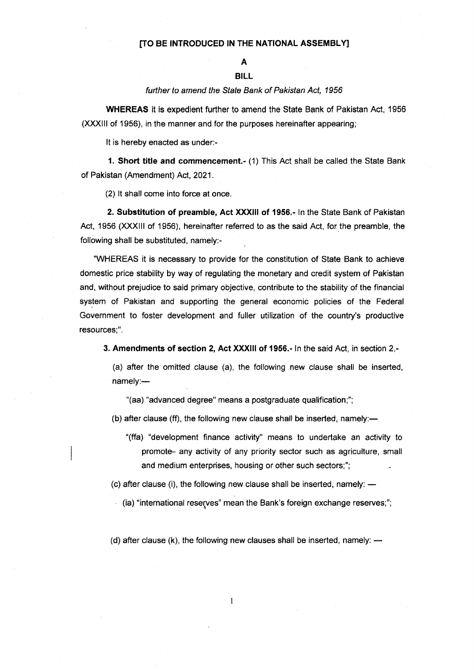## [TO BE INTRODUCED IN THE NATIONAL ASSEMBLY]

## A

## BILL

## further to amend the State Bank of Pakistan Act, 1956

WHEREAS it is expedient further to amend the State Bank of Pakistan Act, 1956 (XXXIll of 1956), in the manner and for the purposes hereinafter appearing;

It is hereby enacted as under:-

1. Short title and commencement.- (1) This Act shall be called the State Bank of Pakistan (Amendment) Act, 2021.

(2) lt shall come into force at once.

2. Substitution of preamble, Act XXXlll of 1956.- ln the State Bank of Pakistan Act, 1956 (XXXIll of 1956), hereinafter referred to as the said Act, for the preamble, the following shall be substituted, namely:-

.WHEREAS it is necessary to provide for the constitution of State Bank to achieve domestic price stability by way of regulating the monetary and credit system of Pakistan and, without prejudice to said primary objective, contribute to the stability of the financial syslem of Pakistan and supporting the general economic policies of the Federal Government to foster development and fuller utilization of the country's productive resources;".

3. Amendments of section 2, Act XXXlll of 1956.- ln the said Act, in section 2,-

(a) after the omitted clause (a), the following new clause shall be inserted, namely:-

"(aa) "advanced degree" means a postgraduate qualification;";

(b) after clause (ff), the following new clause shall be inserted, namely: $-$ 

"(ffa) "development finance activity" means to undertake an activity to promote- any activity of any priority sector such as agriculture, small and medium enterprises, housing or other such sectors;";

(c) after clause (i), the following new clause shall be inserted, namely: --<br>

(ia) "international resefves" mean the Bank's foreign exchange reserves;";

(d) after clause (k), the following new clauses shall be inserted, namely: –<br>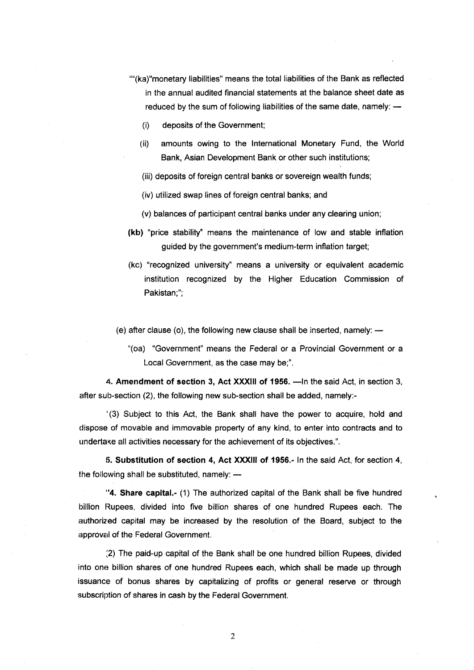- ""(ka)"monetary liabilities" means the total liabilities of the Bank as reflected in the annual audited financial statements at the balance sheet date as reduced by the sum of following liabilities of the same date, namely: -
	- (i) deposits of the Government;
	- (ii) amounts owing to the International Monetary Fund, the World Bank, Asian Development Bank or other such institutions;
	- (iii) deposits of foreign central banks or sovereign wealth funds;
	- (iv) utilized swap lines of foreign central banks; and
	- (v) balances of participant central banks under any clearing union;
- (kb) "price stability' means the maintenance of low and stable inflation guided by the government's medium-term inflation target;
- (kc) "recognized university" means a university or equivalent academic institution recognized by the Higher Education Commission of Pakistan;";
- (e) after clause (o), the following new clause shall be inserted, namely: –<br>
	- "(oa) "Government" means the Federal or a Provincial Government or <sup>a</sup> Local Government, as the case may be;".

4. Amendment of section 3, Act XXXIII of 1956. - In the said Act, in section 3, after sub-section (2), the following new sub-section shall be added, namely:-

'(3) Subject to this Act, the Bank shall have the power to acquire, hold and dispose of movable and immovable property of any kind, to enter into contracts and to undertake all activities necessary for the achievement of its objectives.".

li. Substitution of section 4, Act XXX|ll of 1956.- ln the said Act, for seclion 4, the following shall be substituted, namely: -

"4. Share capital.- (1) The authorized capital of the Bank shall be five hundred billion Rupees, divided into five billion shares of one hundred Rupees each. The authorized capital may be increased by the resolution of the Board, subject to the approval of the Federal Government.

i2) The paid-up capital of the Bank shall be one hundred billion Rupees, divided into one billion shares of one hundred Rupees each, which shall be made up through issuance of bonus shares by capitalizing of profits or general reserve or through subscription of shares in cash by the Federal Government.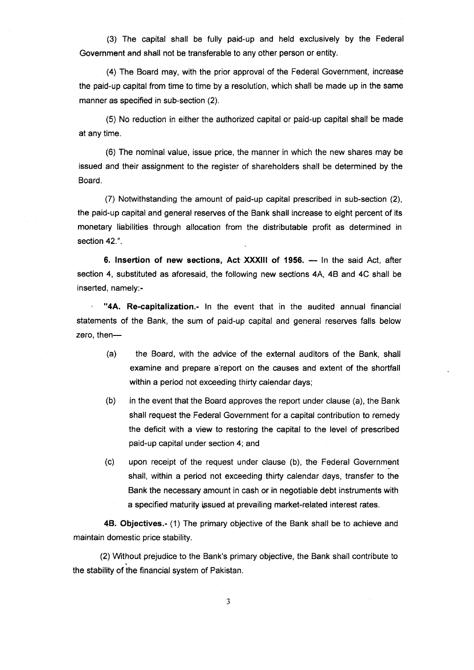(3) The capital shall be fully paid-up and held exclusively by the Federal Government and shall not be transferable to any other person or entity.

(a) The Board may, with the prior approval of the Federal Government, increase the paid-up capital from time to time by a resolution, which shall be made up in the same manner as specified in sub-section (2).

(5) No reduction in either the authorized capital or paid-up capital shall be made at any time.

(6) The nominal value, issue price, the manner in which the new shares may be issued and their assignment to the register of shareholders shall be determined by the Board.

(7) Notwithstanding the amount of paid-up capital prescribed in sub-section (2), the paid-up capital and general reserves of the Bank shall increase to eight percent of its monetary liabilities through allocation from the distributable profit as determined in section 42.".

6. Insertion of new sections, Act XXXIII of 1956. — In the said Act, after section 4, substituted as aforesaid, the following new sections 4A, 48 and 4C shall be inserted, namely:-

"4A. Re-capitalization.- In the event that in the audited annual financial statements of the Bank, the sum of paid-up capital and general reserves falls below zero, then-

- (a) the Board, with the advice of the external auditors of the Bank, shall examine and prepare a-report on the causes and extent of the shortfall within a period not exceeding thirty calendar days;
- (b) in the event that the Board approves the report under clause (a), the Bank shall request the Federal Government for a capital contribution to remedy the deficit with a view to restoring the capital to the level of prescribed paid-up capital under section 4; and
- (c) upon receipt of the request under clause (b), the Federal Government shall, within a period not exceeding thirty calendar days, transfer to the Bank the necessary amount in cash or in negotiable debt instruments with a specified maturity issued at prevailing market-related interest rates.

48. Objectives.- (1) The primary objective of the Bank shall be to achieve and maintain domestic price stability.

(2) V/ithout prejudice to the Bank's primary objective, the Bank shall contribute to the stability of the financial system of Pakistan.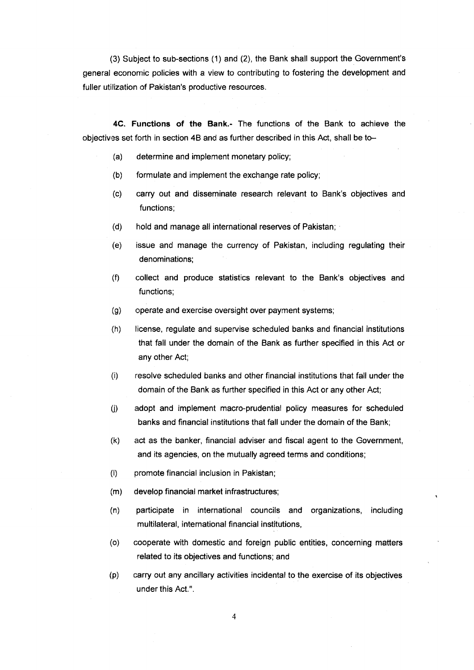(3) Subject to sub-sections (1) and (2), the Bank shall support the Government's general economic policies with a view to contributing to fostering the development and fuller utilization of Pakistan's productive resources.

4C. Functions of the Bank.- The functions of the Bank to achieve the cobiectives set forth in section 4B and as further described in this Act, shall be to-

- (a) determine and implement monetary policy;
- (b) formulate and implement the exchange rate policy;
- (c) carry out and disseminate research relevant to Bank's objectives and functions;
- (d) hold and manage all international reserves of Pakistan;
- (e) issue and manage the currency of Pakistan, including regulating their denominations;
- (f) collect and produce statistics relevant to the Bank's objectives and functions;
- (g) operate and exercise oversight over payment systems;
- (h) license, regulate and supervise scheduled banks and financial institutions that fall under the domain of the Bank as further specified in this Act or any other Act;
- (i) resolve scheduled banks and other financial institutions that fall under the domain of the Bank as further specified in this Act or any other Act;
- (i) adopt and implement macro-prudential policy measures for scheduled banks and financial institutions that fall under the domain of the Bank;
- (k) act as the banker, financial adviser and fiscal agent to the Government, and its agencies, on the mutually agreed terms and conditions;
- (l) promote financial inclusion in Pakistan;
- (m) develop financ{al market infrastructures;
- (n) participate in international councils and organizations, including multilateral, intemational financial institutions,
- (o) cooperate with domestic and foreign public entities, concerning matters related to its objectives and functions; and
- (p) carry out any ancillary activities incidental to the exercise of its objectives under this Act.".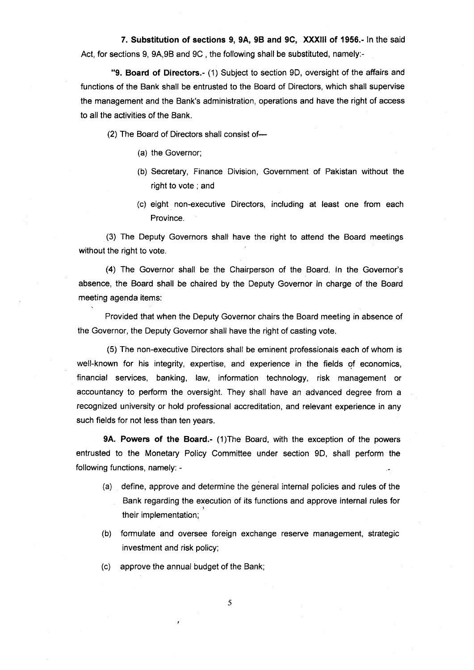7. Substitution of sections 9, 9A, 98 and 9C, XXXlll of 1956.- ln the said Act, for sections 9, 94,98 and 9C , the following shall be substituted, namely:-

"9. Board of Directors.- (1) Subject to section 9D, oversight of the affairs and functions of the Bank shall be entrusted to the Board of Directors, which shall supervise the management and the Bank's administration, operations and have the right of access to all the activities of the Bank.

(2) The Board of Directors shall consist of-

- (a) the Governor;
- (b) Secretary, Finance Division, Government of Pakistan without the right to vote ; and
- (c) eight non-executive Directors, including at least one from each Province.

(3) The Deputy Governors shall have the right to attend the Board meetings without the right to vote.

(4) The Governor shall be the Chairperson of the Board. ln the Governor's absence, the Board shall be chaired by the Deputy Governor in charge of the Board meeting agenda items:

Provided that when the Deputy Governor chairs the Board meeting in absence of the Governor, the Deputy Governor shall have the right of casting vote.

(5) The non-executive Directors shall be eminent professionals each of whom is well-known for his integrity, expertise, and experience in the fields of economics, financial services, banking, law, information technology, risk management or accountancy to perform the oversight. They shall have an advanced degree from a recognized university or hold professional accreditation, and relevant experience in any such fields for not less than ten years.

9A. Powers of the Board.- (1) The Board, with the exception of the powers entrusted to the Monetary Policy Committee under section 9D, shall perform the following functions, namely:

- (a) define, approve and determine the general internal policies and rules of the Bank regarding the execution of its functions and approve internal rules for their implementation;
- (b) formulate and oversee foreign exchange reserve management, strategic investment and risk policy;

(c) approve the annual budget of the Bank;

5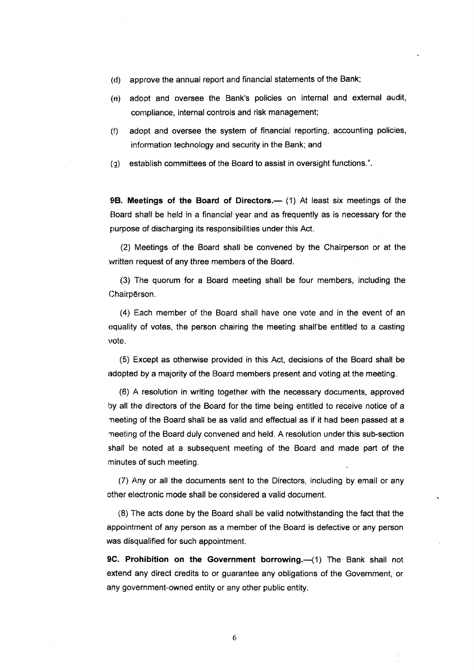- (d) approve the annual report and financial statements of the Bank;
- (e) adopt and oversee the Bank's policies on internal and external audit, compliance, internal controls and risk management;
- (t) adopt and oversee the system of financial reporting, accounting policies, information technology and security in the Bank; and

(g) establish committees of the Board to assist in oversight functions.".

9B. Meetings of the Board of Directors.— $(1)$  At least six meetings of the Eloard shall be held in a financial year and as frequently as is necessary for the purpose of discharging its responsibilities under this Act.

(2) Meetings of the Board shall be convened by the Chairperson or at the vvritten request of any three members of the Board.

(3) The quorum for a Board meeting shall be four members, including the Ohairp€rson.

(4) Each member of the Board shall have one vote and in the event of an equality of votes, the person chairing the meeting shall-be entitled to a casting vote.

(5) Except as otherwise provided in this Act, decisions of the Board shall be adopted by a majority of the Board members present and voting at the meeting.

(6) A resolution in writing together with the necessary documents, approved by all the directors of the Board for the time being entitled to receive notice of a neeting of the Board shall be as valid and effectual as if it had been passed at a ^neeting of the Board duly convened and held. A resolution underthis sub-section shall be noted at a subsequent meeting of the Board and made part of the minutes of such meeting.

(7) Any or all the documents sent to the Directors, including by email or any other electronic mode shall be considered a valid document.

(8) The acts done by the Board shall be valid notwithstanding the fact that the appointment of any person as a member of the Board is defective or any person was disqualified for such appointment.

9C. Prohibition on the Government borrowing.-(1) The Bank shall not extend any direct credits to or guarantee any obligations of the Government, or any government-owned entity or any other public entity.

6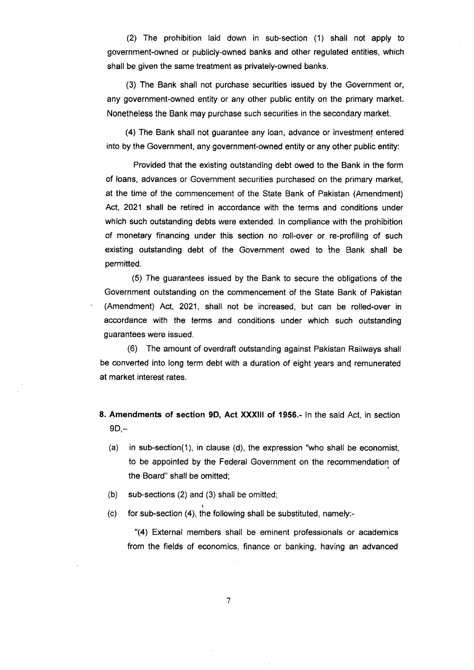(2) The prohibition laid down in sub-section (1) shall not apply to government-owned or publicly-owned banks and other regulated entities, which shall be given the same treatment as privately-owned banks.

(3) The Bank shall not purchase securities issued by the Government or, any government-owned entity or any other public entity on the primary market. Nonetheless the Bank may purchase such securities in the secondary market.

(4) The Bank shall not guarantee any loan, advance or investment entered into by the Government, any government-owned entity or any other public entity:

Provided that the existing outstanding debt owed to the Bank in the form of loans, advances or Government securities purchased on the primary market, at the time of the commencement of the State Bank of Pakistan (Amendment) Act, 2021 shall be retired in accordance with the terms and conditions under which such outstanding debts were extended. ln compliance with the prohibition of monetary financing under this section no roll-over or re-profiling of such existing outstanding debt of the Government owed to ihe Bank shall be permitted.

(5) The guarantees issued by the Bank to secure the obligations of the Government outstanding on the commencement of the State Bank of Pakistan (Amendment) Act,2021, shall not be increased, but can be rolled-over in accordance with the terms and conditions under which such outstanding guarantees were issued

(6) The amount of overdraft outstanding against Pakistan Railways shall be converted into long term debt with a duration of eight years and remunerated at market interest rates.

- 8. Amendments of section 9D, Act XXXlll of 1956.- ln the said Act, in section  $9D, -$ 
	- (a) in sub-section(1), in clause (d), the expression "who shall be economist, to be appointed by the Federal Government on the recommendation of the Board" shall be omitted;
	- (b) sub-sections (2) and (3) shall be omitted;
	- $(c)$  for sub-section (4), the following shall be substituted, namely:-

"(4) External members shall be eminent professionals or academics from the fields of economics, finance or banking, having an advanced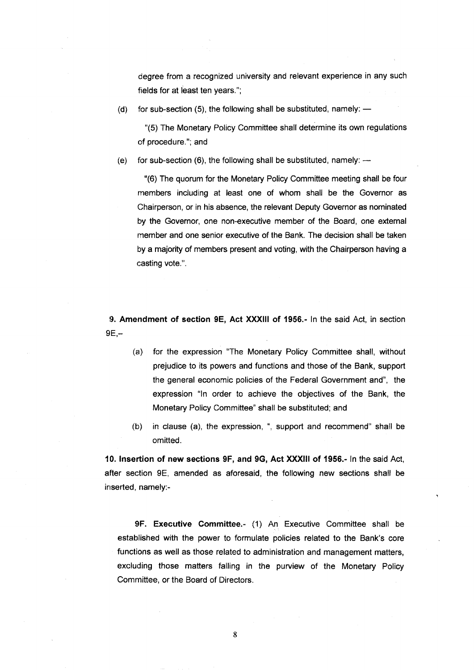degree from a recognized university and relevant experience in any such fields for at least ten years.";

(d) for sub-section (5), the following shall be substituted, namely: -

"(5) The Monetary Policy Committee shall determine its own regulations of procedure."; and

(e) for sub-section (6), the following shall be substituted, namely: -

"(6) The quorum for the Monetary Policy Committee meeting shall be four members including at least one of whom shall be the Governor as Chairperson, or in his absence, the relevant Deputy Governor as nominated by the Governor, one non-executive member of the Board, one external member and one senior executive of the Bank. The decision shall be taken by a majortty of members present and voting, with the Chairperson having a casting vote.".

!). Amendment of section 9E, Act XXXIII of 1956.- ln the said Act, in section  $9E -$ 

- (a) for the expression "The Monetary Policy Committee shall, without prejudice to its powers and functions and those of the Bank, support the general economic policies of the Federal Government and", the expression "ln order to achieve the objectives of the Bank, the Monetary Policy Committee" shall be substituted; and
- (b) in clause (a), the expression, ", support and recommend" shall be omitted.

10. lnsertion of new sections 9F, and 9G, Act XXXlll of 1956.- ln the said Act, after section 9E, amended as aforesaid, the following new sections shall be irrserted, namely:-

9F. Executive Committee.- (1) An Executive Committee shall be established with the power to formulate policies related to the Bank's core functions as well as those related to administration and management matters, excluding those matters falling in the purview of the Monetary Policy Committee, or the Board of Directors.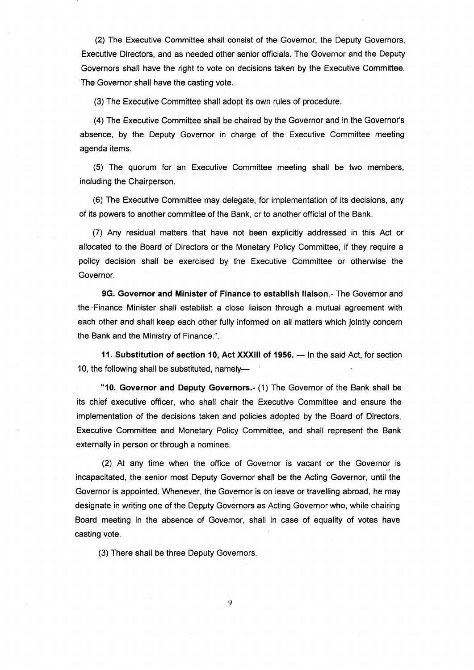(2) The Executive Committee shall consist of the Governor, the Deputy Governors, Executive Directors, and as needed other senior officials, The Governor and the Deputy Governors shall have the right to vote on decisions taken by the Executive Committee. The Governor shall have the casting vote,

(3) The Executive Committee shall adopt its own rules of procedure.

(a) The Executive Committee shall be chaired by the Governor and in the Governor's absence, by the Deputy Governor in charge of the Executive Committee meeting agenda items.

(5) The quorum for an Executive Committee meeting shall be two members, including the Chairperson.

(6) The Executive Committee may delegate, for implementation of its decisions, any of its powers to another committee of the Bank, or to another official of the Bank.

(7) Any residual matters that have not been explicitly addressed in this Act or allocated to the Board of Directors or the Monetary Policy Committee, if they require a policy decision shall be exercised by the Executive Committee or otherwise the Governor.

9G. Governor and Minister of Finance to establish liaison.- The Governor and the.Finance Minister shall establish a close liaison through a mutual agreement with each other and shall keep each other fully informed on all matters which jointly concern the Bank and the Ministry of Finance.".

11. Substitution of section 10, Act XXXIII of 1956. — In the said Act, for section<br>- Charles Martin State State State State State State State State State State State State State State State Sta 10, the following shall be substituted, namely-

"10. Governor and Deputy Governors.- (1) The Governor of the Bank shall be its chief executive officer, who shall chair the Executive Committee and ensure the implementation of the decisions taken and policies adopted by the Board of Directors, Executive Committee and Monetary Policy Committee, and shall represent the Bank externally in person or through a nominee.

(2) At any time when the office of Governor is vacant or the Governor is incapacitated, the senior most Deputy Governor shall be the Acting Governor, until the Governor is appointed. Whenever, the Governor is on leave or travelling abroad, he may designate in writing one of the Deputy Governors as Acting Governor who, while chairing Board meeting in the absence of Governor, shall in case of equality of votes have casting vote.

(3) There shall be three Deputy Governors.

9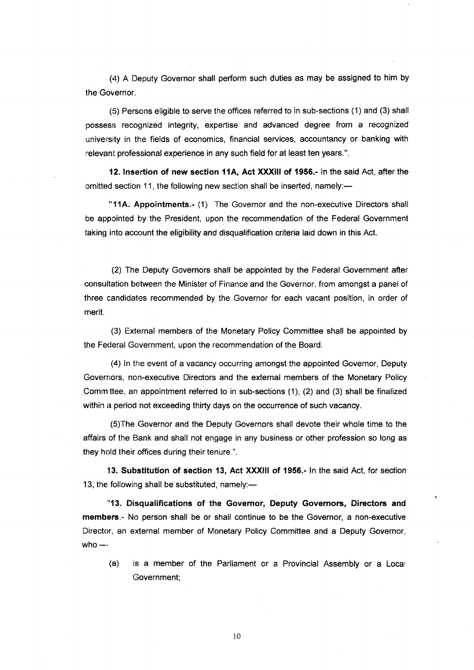(4) A Deputy Governor shall perform such duties as may be assigned to him by the Governor.

(5) Persons eligible to serve the offices referred to in sub-sections (1) and (3) shall possess recognized integrity, expertise and advanced degree from a recognized university in the fields of economics, financial services, accountancy or banking with relevant professional experience in any such field for at least ten years.".

12. Insertion of new section 11A, Act XXXIII of 1956.- In the said Act, after the omitted section 11, the following new section shall be inserted, namely:-

"11A. Appointments.- (1) The Governor and the non-executive Directors shall be appointed by the President, upon the recommendation of the Federal Government taking into account the eligibility and disqualification criteria laid down in this Act.

(2) The Deputy Governors shall be appointed by the Federal Government after consultation between the Minister of Finance and the Governor, from amongst a panel of three candidates recommended by the Governor for each vacant position, in order of merit.

(3) External members of the Monetary Policy Committee shall be appointed by the Federal Government, upon the recommendation of the Board.

(4) ln the event of a vacancy occurring amongst the appointed Governor, Deputy Governors, non-executive Directors and the external members of the Monetary Policy Commttee, an appointment referred to in sub-sections (1), (2) and (3) shall be finalized within a period not exceeding thirty days on the occurrence of such vacancy.

(s)The Governor and the Deputy Governors shall devote their whole time to the affairs of the Bank and shall not engage in any business or other profession so long as they hold their offices during their tenure.".

13. Substitution of section 13, Act XXXIII of 1956.- In the said Act, for section 13, the following shall be substituted, namely: $-$ 

"13. Disqualifications of the Governor, Deputy Governors, Directors and members.- No person shall be or shall continue to be the Governor, a non-executive Director, an external member of Monetary Policy Committee and a Deputy Governor, who  $-$ 

 $(a)$  is a member of the Parliament or a Provincial Assembly or a Local Government;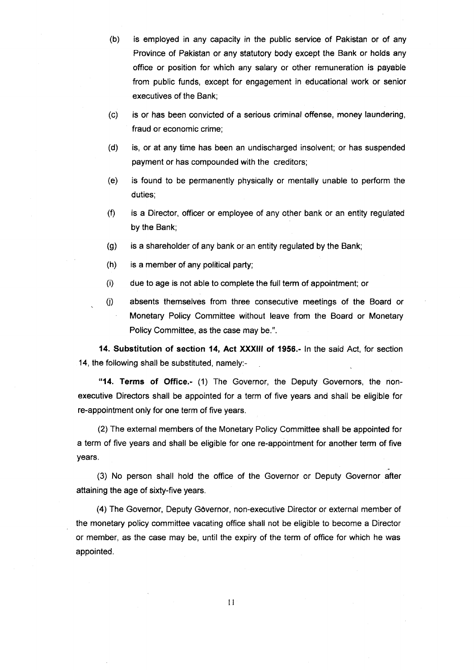(b) is employed in any capacity in the public service of Pakistan or of any Province of Pakistan or any statutory body except the Bank or holds any office or position for which any salary or other remuneration is payable from public funds, except for engagement in educational work or senior executives of the Bank;

- (c) is or has been convicted of a serious criminal offense, money laundering, fraud or economic crime;
- (d) is, or at any time has been an undischarged insolvent; or has suspended payment or has compounded with the creditors;
- (e) is found to be permanently physically or mentally unable to perform the duties;
- (0 is a Director, officer or employee of any other bank or an entity regulated by the Bank;
- (g) is a shareholder of any bank or"an entity regulated by the Bank;
- (h) is a member of any political party;

.

- (i) due to age is not able to complete the full term of appointment; or
- (j) absents themselves from three consecutive meetings of the Board or Monetary Policy Committee without leave from the Board or Monetary Policy Committee, as the case may be.".

14. Substitution of section 14, Act XXXlll of 1956.- ln the said Act, for section 14, the following shall be substituted, namely:-

"14. Terms of Office.- (1) The Governor, the Deputy Governors, the nonexecutive Directors shall be appointed for a term of five years and shall be eligible for re-appointment only for one term of five years.

(2) The external members of the Monetary Policy Committee shall be appointed for a term of five years and shall be eligible for one re-appointment for another term of five years.

(3) No person shall hold the office of the Governor or Deputy Governor after attaining the age of sixty-five years.

(4) The Governor, Deputy Governor, non-executive Director or external member of the monetary policy committee vacating office shall not be eligible to become a Director or member, as the case may be, until the expiry of the term of offlce for which he was appointed.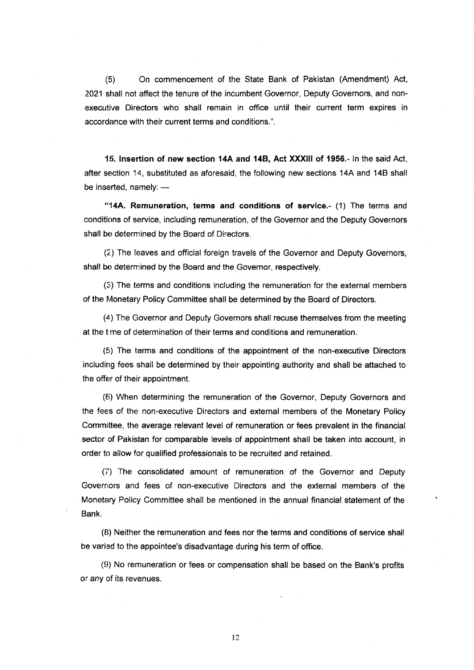(5) On commencement of the State Bank of Pakistan (Amendment) Act, 2021 shall not affect the tenure of the incumbent Governor, Deputy Governors, and non executive Directors who shall remain in office until their current term expires in accordance with their current terms and conditions.".

15. Insertion of new section 14A and 14B, Act XXXIII of 1956.- In the said Act, after section 14, substituted as aforesaid, the following new sections 14A and 14B shall be inserted, namely: -

"14A. Remuneration, terms and conditions of service.- (1) The terms and conditions of service, including remuneration, of the Governor and the Deputy Governors shall be determined by the Board of Directors.

(2,) The leaves and official foreign travels of the Governor and Deputy Governors, shall be determined by the Board and the Governor, respectively.

(3;) The terms and conditions including the remuneration for the external members of the Monetary Policy Committee shall be determined by the Board of Directors.

(4) The Governor and Deputy Governors shall recuse themselves from the meeting at the time of determination of their terms and conditions and remuneration.

 $(5)$  The terms and conditions of the appointment of the non-executive Directors includirrg fees shall be determined by their appointing authority and shall be attached to the offer of their appointment.

(€i) When determining the remuneration of the Governor, Deputy Governors and the fees of the non-executive Directors and external members of the Monetary Policy Committee, the average relevant level of remuneration or fees prevalent in the financial sector of Pakistan for comparable levels of appointment shall be taken into account, in order to allow for qualified professionals to be recruited and retained.

fi') The consolidated amount of remuneration of the Governor and Deputy Governors and fees of non-executive Directors and the external members of the Monetary Policy Committee shall be mentioned in the annual financial statement of the Bank.

(8) Neither the remuneration and fees nor the terms and conditions of service shall be varied to the appointee's disadvantage during his term of office.

(9) No remuneration or fees or compensation shall be based on the Bank's profits or any of its revenues.

l2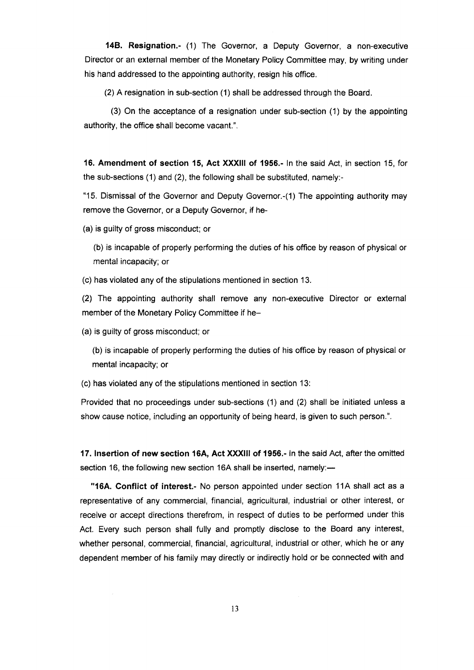14B. Resignation.- (1) The Governor, a Deputy Governor, a non-executive Director or an external member of the Monetary Policy Committee may, by writing under his hand addressed to the appointing authority, resign his office.

(2) A resignation in sub-section (1) shall be addressed through the Board.

(3) On the acceptance of a resignation under sub-section (1) by the appointing authority, the office shall become vacant.".

16. Amendment of section 15, Act XXXlll of 1956.- ln the said Act, in section 15, for the sub-sections (1) and (2), the following shall be substituted, namely:-

"15. Dismissal of the Governor and Deputy Governor.-(1) The appointing authority may remove the Governor, or a Deputy Governor, if he-

(a) is guilty of gross misconduct; or

(b) is incapable of properly performing the duties of his office by reason of physical or mental incapacity; or

(c) has violated any of the stipulations mentioned in section 13.

(2) The appointing authority shall remove any non-executive Director or external member of the Monetary Policy Committee if he-

(a) is guilty of gross misconduct; or

(b) is incapable of properly performing the duties of his office by reason of physical or mental incapacity; or

(c) has violated any of the stipulations mentioned in section 13:

Provided that no proceedings under sub-sections (1) and (2) shall be Initiated unless a show cause notice, including an opportunity of being heard, is given to such person.".

17. lnsertion of new section 16A, Act XXX!ll of 1956.- ln the said Act, after the omitted section 16, the following new section 16A shall be inserted, namely:-

"16A. Conflict of interest.- No person appointed under section 11A shall act as a representative of any commercial, financial, agricultural, industrial or other interest, or receive or accept directions therefrom, in respect of duties to be performed under this Act. Every such person shall fully and promptly disclose to the Board any interest, whether personal, commercial, financial, agricultural, industrial or other, which he or any dependent member of his family may directly or indirectly hold or be connected with and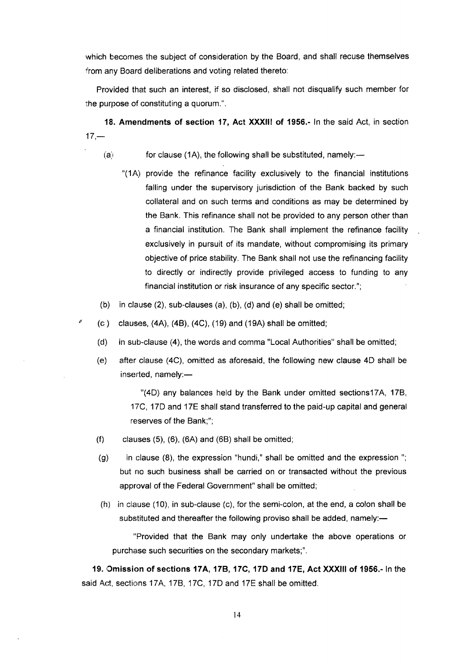which becomes the subject of consideration by the Board, and shall recuse themselves from any Board deliberations and voting related thereto:

Provided that such an interest, if so disclosed, shall not disqualify such member for the purpose of constituting a quorum.".

18. Amendments of section 17, Act XXXII! of 1956.- ln the said Act, in section  $17 -$ 

 $(a)$  for clause (1A), the following shall be substituted, namely:—

- "(1A) provide the refinance facility exclusively to the financial institutions falling under the supervisory jurisdiction of the Bank backed by such collateral and on such terms and conditions as may be determined by the Bank. This refinance shall not be provided to any person other than a financial institution. The Bank shall implement the refinance facility exclusively in pursuit of its mandate, without compromising its primary objective of price stability. The Bank shall not use the refinancing facility to directly or indirectly provide privileged access to funding to any financial institution or risk insurance of any specific sector.";
- (b) in clause (2), sub-clauses (a), (b), (d) and (e) shall be omitted;
- $\degree$  (c) clauses, (4A), (4B), (4C), (19) and (19A) shall be omitted;
	- (d) in sub-clause (4), the words and comma "Local Authorities" shall be omitted;
	- (e) after clause (4C), omitted as aforesaid, the following new clause 4D shall be  $inserted$ , namely: $-$

"(4D) any balances held by the Bank under omitted sections17A, 17B, 17C, 17D and 17E shall stand transferred to the paid-up capital and general reserves of the Bank;";

- $(f)$  clauses  $(5)$ ,  $(6)$ ,  $(6A)$  and  $(6B)$  shall be omitted;
- (g) in clause (8), the expression "hundi," shall be omitted and the expression "; but no such business shall be carried on or transacted without the previous approval of the Federal Government" shall be omitted;
- (h) in clause (10), in sub-clause (c), forthe semi-colon, atthe end, a colon shall be substituted and thereafter the following proviso shall be added, namely:-

"Provided that the Bank may only undertake the above operations or purchase such securities on the secondary markets;".

19. Omission of sections 17A, 17B, 17C, 17D and 17E, Act XXXIII of 1956.- In the said Act, sections 17A, 17B, 17C, 17D and 17E shall be omitted.